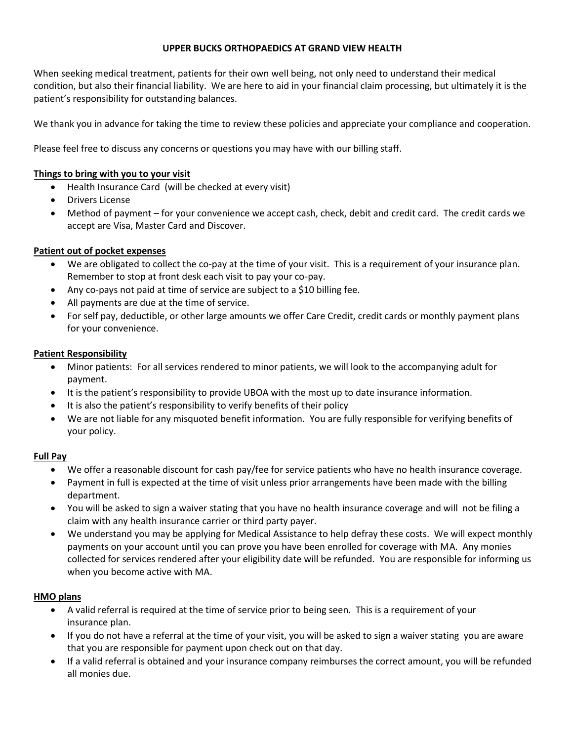#### **UPPER BUCKS ORTHOPAEDICS AT GRAND VIEW HEALTH**

When seeking medical treatment, patients for their own well being, not only need to understand their medical condition, but also their financial liability. We are here to aid in your financial claim processing, but ultimately it is the patient's responsibility for outstanding balances.

We thank you in advance for taking the time to review these policies and appreciate your compliance and cooperation.

Please feel free to discuss any concerns or questions you may have with our billing staff.

#### **Things to bring with you to your visit**

- Health Insurance Card (will be checked at every visit)
- Drivers License
- Method of payment for your convenience we accept cash, check, debit and credit card. The credit cards we accept are Visa, Master Card and Discover.

#### **Patient out of pocket expenses**

- We are obligated to collect the co-pay at the time of your visit. This is a requirement of your insurance plan. Remember to stop at front desk each visit to pay your co-pay.
- Any co-pays not paid at time of service are subject to a \$10 billing fee.
- All payments are due at the time of service.
- For self pay, deductible, or other large amounts we offer Care Credit, credit cards or monthly payment plans for your convenience.

#### **Patient Responsibility**

- Minor patients: For all services rendered to minor patients, we will look to the accompanying adult for payment.
- It is the patient's responsibility to provide UBOA with the most up to date insurance information.
- It is also the patient's responsibility to verify benefits of their policy
- We are not liable for any misquoted benefit information. You are fully responsible for verifying benefits of your policy.

#### **Full Pay**

- We offer a reasonable discount for cash pay/fee for service patients who have no health insurance coverage.
- Payment in full is expected at the time of visit unless prior arrangements have been made with the billing department.
- You will be asked to sign a waiver stating that you have no health insurance coverage and will not be filing a claim with any health insurance carrier or third party payer.
- We understand you may be applying for Medical Assistance to help defray these costs. We will expect monthly payments on your account until you can prove you have been enrolled for coverage with MA. Any monies collected for services rendered after your eligibility date will be refunded. You are responsible for informing us when you become active with MA.

#### **HMO plans**

- A valid referral is required at the time of service prior to being seen. This is a requirement of your insurance plan.
- If you do not have a referral at the time of your visit, you will be asked to sign a waiver stating you are aware that you are responsible for payment upon check out on that day.
- If a valid referral is obtained and your insurance company reimburses the correct amount, you will be refunded all monies due.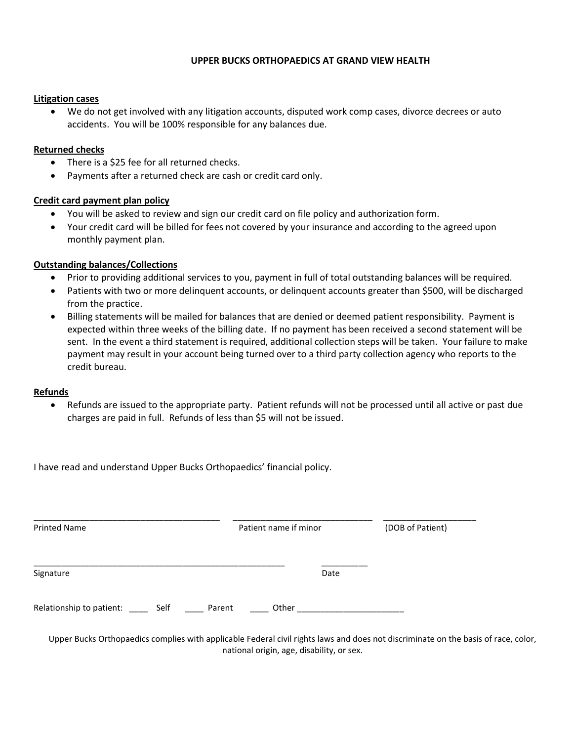#### **UPPER BUCKS ORTHOPAEDICS AT GRAND VIEW HEALTH**

#### **Litigation cases**

 We do not get involved with any litigation accounts, disputed work comp cases, divorce decrees or auto accidents. You will be 100% responsible for any balances due.

#### **Returned checks**

- There is a \$25 fee for all returned checks.
- Payments after a returned check are cash or credit card only.

#### **Credit card payment plan policy**

- You will be asked to review and sign our credit card on file policy and authorization form.
- Your credit card will be billed for fees not covered by your insurance and according to the agreed upon monthly payment plan.

#### **Outstanding balances/Collections**

- Prior to providing additional services to you, payment in full of total outstanding balances will be required.
- Patients with two or more delinquent accounts, or delinquent accounts greater than \$500, will be discharged from the practice.
- Billing statements will be mailed for balances that are denied or deemed patient responsibility. Payment is expected within three weeks of the billing date. If no payment has been received a second statement will be sent. In the event a third statement is required, additional collection steps will be taken. Your failure to make payment may result in your account being turned over to a third party collection agency who reports to the credit bureau.

#### **Refunds**

 Refunds are issued to the appropriate party. Patient refunds will not be processed until all active or past due charges are paid in full. Refunds of less than \$5 will not be issued.

I have read and understand Upper Bucks Orthopaedics' financial policy.

| <b>Printed Name</b>                            | Patient name if minor | (DOB of Patient) |
|------------------------------------------------|-----------------------|------------------|
| Signature                                      | Date                  |                  |
| Relationship to patient: ______ Self<br>Parent | Other                 |                  |

Upper Bucks Orthopaedics complies with applicable Federal civil rights laws and does not discriminate on the basis of race, color, national origin, age, disability, or sex.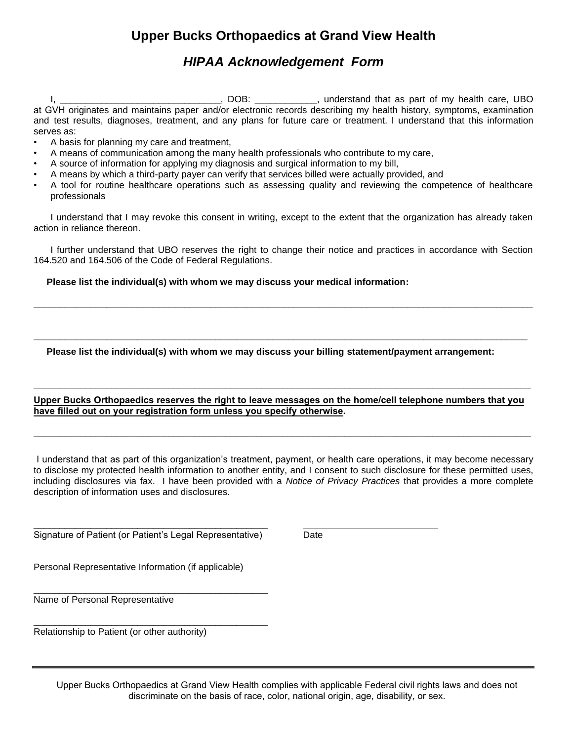# **Upper Bucks Orthopaedics at Grand View Health**

## *HIPAA Acknowledgement Form*

I, \_\_\_\_\_\_\_\_\_\_\_\_\_\_\_\_\_\_\_\_\_\_\_\_\_\_\_\_\_\_\_\_\_\_, DOB: \_\_\_\_\_\_\_\_\_\_\_\_\_, understand that as part of my health care, UBO at GVH originates and maintains paper and/or electronic records describing my health history, symptoms, examination and test results, diagnoses, treatment, and any plans for future care or treatment. I understand that this information serves as:

- A basis for planning my care and treatment,
- A means of communication among the many health professionals who contribute to my care,
- A source of information for applying my diagnosis and surgical information to my bill,
- A means by which a third-party payer can verify that services billed were actually provided, and
- A tool for routine healthcare operations such as assessing quality and reviewing the competence of healthcare professionals

I understand that I may revoke this consent in writing, except to the extent that the organization has already taken action in reliance thereon.

I further understand that UBO reserves the right to change their notice and practices in accordance with Section 164.520 and 164.506 of the Code of Federal Regulations.

**\_\_\_\_\_\_\_\_\_\_\_\_\_\_\_\_\_\_\_\_\_\_\_\_\_\_\_\_\_\_\_\_\_\_\_\_\_\_\_\_\_\_\_\_\_\_\_\_\_\_\_\_\_\_\_\_\_\_\_\_\_\_\_\_\_\_\_\_\_\_\_\_\_\_\_\_\_\_\_\_\_\_\_\_\_\_\_\_\_\_\_\_\_\_\_\_** 

**\_\_\_\_\_\_\_\_\_\_\_\_\_\_\_\_\_\_\_\_\_\_\_\_\_\_\_\_\_\_\_\_\_\_\_\_\_\_\_\_\_\_\_\_\_\_\_\_\_\_\_\_\_\_\_\_\_\_\_\_\_\_\_\_\_\_\_\_\_\_\_\_\_\_\_\_\_\_\_\_\_\_\_\_\_\_\_\_\_\_\_\_\_\_\_** 

 **Please list the individual(s) with whom we may discuss your medical information:** 

 **Please list the individual(s) with whom we may discuss your billing statement/payment arrangement:** 

#### **Upper Bucks Orthopaedics reserves the right to leave messages on the home/cell telephone numbers that you have filled out on your registration form unless you specify otherwise.**

**\_\_\_\_\_\_\_\_\_\_\_\_\_\_\_\_\_\_\_\_\_\_\_\_\_\_\_\_\_\_\_\_\_\_\_\_\_\_\_\_\_\_\_\_\_\_\_\_\_\_\_\_\_\_\_\_\_\_\_\_\_\_\_\_\_\_\_\_\_\_\_\_\_\_\_\_\_\_\_\_\_\_\_\_\_\_\_\_\_\_\_\_\_\_\_\_** 

**\_\_\_\_\_\_\_\_\_\_\_\_\_\_\_\_\_\_\_\_\_\_\_\_\_\_\_\_\_\_\_\_\_\_\_\_\_\_\_\_\_\_\_\_\_\_\_\_\_\_\_\_\_\_\_\_\_\_\_\_\_\_\_\_\_\_\_\_\_\_\_\_\_\_\_\_\_\_\_\_\_\_\_\_\_\_\_\_\_\_\_\_\_\_\_\_** 

I understand that as part of this organization's treatment, payment, or health care operations, it may become necessary to disclose my protected health information to another entity, and I consent to such disclosure for these permitted uses, including disclosures via fax. I have been provided with a *Notice of Privacy Practices* that provides a more complete description of information uses and disclosures.

\_\_\_\_\_\_\_\_\_\_\_\_\_\_\_\_\_\_\_\_\_\_\_\_\_\_\_\_\_\_\_\_\_\_\_\_\_\_\_\_\_\_\_\_\_ Signature of Patient (or Patient's Legal Representative) Date

\_\_\_\_\_\_\_\_\_\_\_\_\_\_\_\_\_\_\_\_\_\_\_\_\_\_\_\_\_\_\_\_\_\_\_\_\_\_\_\_\_\_\_\_\_

\_\_\_\_\_\_\_\_\_\_\_\_\_\_\_\_\_\_\_\_\_\_\_\_\_\_\_\_\_\_\_\_\_\_\_\_\_\_\_\_\_\_\_\_\_

Personal Representative Information (if applicable)

Name of Personal Representative

Relationship to Patient (or other authority)

Upper Bucks Orthopaedics at Grand View Health complies with applicable Federal civil rights laws and does not discriminate on the basis of race, color, national origin, age, disability, or sex.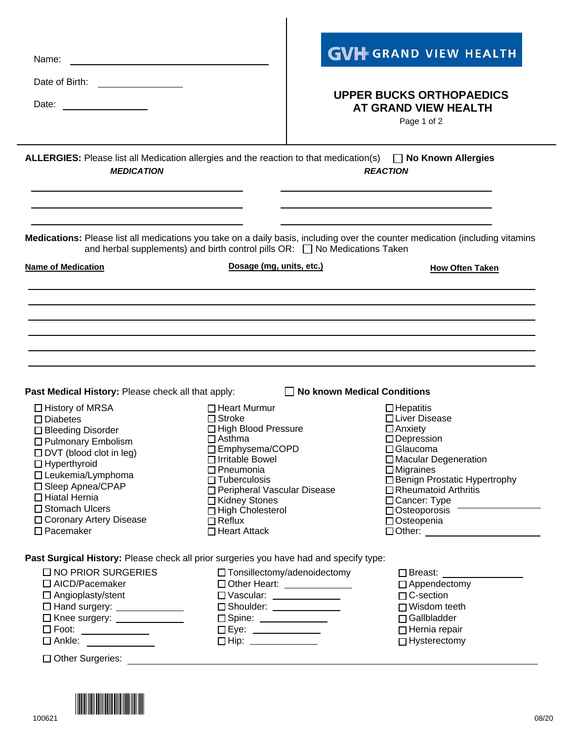| <b>GVH</b> GRAND VIEW HEALTH                                                                                                                                                                                                                                                                                                                                                           |  |  |
|----------------------------------------------------------------------------------------------------------------------------------------------------------------------------------------------------------------------------------------------------------------------------------------------------------------------------------------------------------------------------------------|--|--|
|                                                                                                                                                                                                                                                                                                                                                                                        |  |  |
| <b>UPPER BUCKS ORTHOPAEDICS</b>                                                                                                                                                                                                                                                                                                                                                        |  |  |
| <b>AT GRAND VIEW HEALTH</b><br>Page 1 of 2                                                                                                                                                                                                                                                                                                                                             |  |  |
| <b>ALLERGIES:</b> Please list all Medication allergies and the reaction to that medication(s) $\Box$ No Known Allergies<br><b>REACTION</b>                                                                                                                                                                                                                                             |  |  |
| the control of the control of the control of the control of the control of<br>Medications: Please list all medications you take on a daily basis, including over the counter medication (including vitamins<br>and herbal supplements) and birth control pills OR:<br><u> </u> No Medications Taken                                                                                    |  |  |
| Dosage (mg, units, etc.)<br><b>How Often Taken</b>                                                                                                                                                                                                                                                                                                                                     |  |  |
| $\Box$ No known Medical Conditions<br>$\Box$ Hepatitis<br>□ Liver Disease                                                                                                                                                                                                                                                                                                              |  |  |
| □ High Blood Pressure<br>$\Box$ Anxiety<br>$\Box$ Depression<br>□ Emphysema/COPD<br>$\Box$ Glaucoma<br>□ Macular Degeneration<br>$\Box$ Migraines<br>□ Benign Prostatic Hypertrophy<br>$\Box$ Rheumatoid Arthritis<br>□ Peripheral Vascular Disease<br>□ Cancer: Type                                                                                                                  |  |  |
| $\Box$ High Cholesterol<br>$\Box$ Osteoporosis<br>□ Osteopenia                                                                                                                                                                                                                                                                                                                         |  |  |
| Past Surgical History: Please check all prior surgeries you have had and specify type:                                                                                                                                                                                                                                                                                                 |  |  |
| $\Box$ Tonsillectomy/adenoidectomy<br>$\Box$ Breast: $\Box$<br>□ Other Heart: _____________<br>$\Box$ Appendectomy<br>□ Vascular: ______________<br>$\Box$ C-section<br>$\Box$ Shoulder: $\_\_\_\_\_\_\_\_\_\_\_\_\_\_\_\_\_$<br>$\Box$ Wisdom teeth<br>□ Gallbladder<br>□ Spine: <u>___________</u> __<br>$\Box$ Eye: ________________<br>$\Box$ Hernia repair<br>$\Box$ Hysterectomy |  |  |
|                                                                                                                                                                                                                                                                                                                                                                                        |  |  |

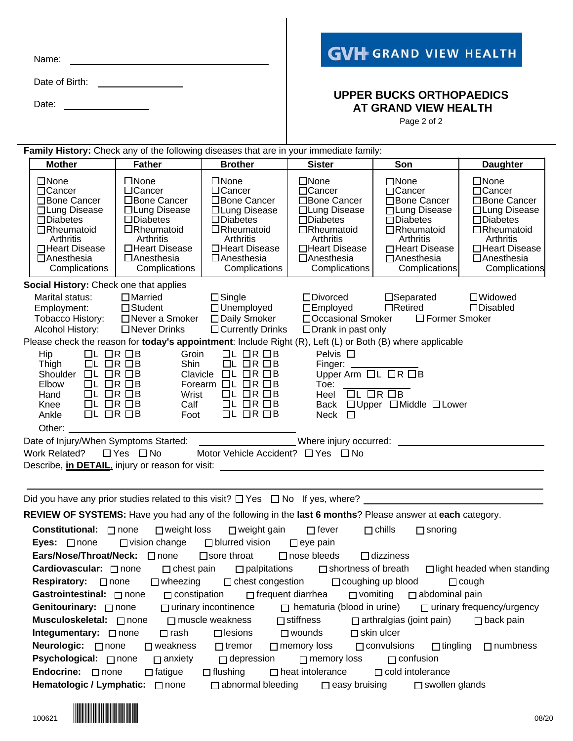| Name: |  |
|-------|--|
|       |  |

Date of Birth:

Date: **Date:** 

# **GVH GRAND VIEW HEALTH**

### **UPPER BUCKS ORTHOPAEDICS AT GRAND VIEW HEALTH**

Page 2 of 2

| Family History: Check any of the following diseases that are in your immediate family:                                                                                                                                                                                                                                                                                                                                                                                                |                                                                                                                                                                                       |                                                                                                                                                                                           |                                                                                                                                                                            |                                                                                                                                                                                     |                                                                                                                                                                                   |
|---------------------------------------------------------------------------------------------------------------------------------------------------------------------------------------------------------------------------------------------------------------------------------------------------------------------------------------------------------------------------------------------------------------------------------------------------------------------------------------|---------------------------------------------------------------------------------------------------------------------------------------------------------------------------------------|-------------------------------------------------------------------------------------------------------------------------------------------------------------------------------------------|----------------------------------------------------------------------------------------------------------------------------------------------------------------------------|-------------------------------------------------------------------------------------------------------------------------------------------------------------------------------------|-----------------------------------------------------------------------------------------------------------------------------------------------------------------------------------|
| <b>Mother</b>                                                                                                                                                                                                                                                                                                                                                                                                                                                                         | <b>Father</b>                                                                                                                                                                         | <b>Brother</b>                                                                                                                                                                            | <b>Sister</b>                                                                                                                                                              | Son                                                                                                                                                                                 | <b>Daughter</b>                                                                                                                                                                   |
| $\Box$ None<br>$\Box$ Cancer<br>□Bone Cancer<br>□ Lung Disease<br>$\Box$ Diabetes<br>$\Box$ Rheumatoid<br>Arthritis<br>□Heart Disease<br>□Anesthesia<br>Complications                                                                                                                                                                                                                                                                                                                 | $\Box$ None<br>$\Box$ Cancer<br>□Bone Cancer<br>□ Lung Disease<br>$\square$ Diabetes<br>$\Box$ Rheumatoid<br><b>Arthritis</b><br>□Heart Disease<br>$\Box$ Anesthesia<br>Complications | $\square$ None<br>$\Box$ Cancer<br>□Bone Cancer<br>□Lung Disease<br>$\square$ Diabetes<br>$\Box$ Rheumatoid<br>Arthritis<br>□Heart Disease<br>$\Box$ Anesthesia<br>Complications          | $\square$ None<br>$\Box$ Cancer<br>□Bone Cancer<br>□Lung Disease<br>$\square$ Diabetes<br>□Rheumatoid<br>Arthritis<br>□Heart Disease<br>$\Box$ Anesthesia<br>Complications | $\square$ None<br>$\Box$ Cancer<br>□Bone Cancer<br>□ Lung Disease<br>$\square$ Diabetes<br>$\Box$ Rheumatoid<br>Arthritis<br>□Heart Disease  <br>$\Box$ Anesthesia<br>Complications | $\square$ None<br>$\Box$ Cancer<br>□Bone Cancer<br>□ Lung Disease<br>$\square$ Diabetes<br>$\Box$ Rheumatoid<br>Arthritis<br>□Heart Disease<br>$\Box$ Anesthesia<br>Complications |
| Social History: Check one that applies                                                                                                                                                                                                                                                                                                                                                                                                                                                |                                                                                                                                                                                       |                                                                                                                                                                                           |                                                                                                                                                                            |                                                                                                                                                                                     |                                                                                                                                                                                   |
| Marital status:<br>Employment:<br>Alcohol History:                                                                                                                                                                                                                                                                                                                                                                                                                                    | $\Box$ Married<br>$\Box$ Student<br>Tobacco History: □ Never a Smoker □ Daily Smoker<br>$\Box$ Never Drinks                                                                           | $\Box$ Single<br>$\Box$ Unemployed<br>$\Box$ Currently Drinks                                                                                                                             | $\Box$ Divorced<br>$\square$ Employed<br>□ Occasional Smoker<br>$\Box$ Drank in past only                                                                                  | $\square$ Separated<br>$\Box$ Retired<br>$\Box$ Former Smoker                                                                                                                       | $\Box$ Widowed<br>$\square$ Disabled                                                                                                                                              |
| Please check the reason for today's appointment: Include Right (R), Left (L) or Both (B) where applicable                                                                                                                                                                                                                                                                                                                                                                             |                                                                                                                                                                                       |                                                                                                                                                                                           |                                                                                                                                                                            |                                                                                                                                                                                     |                                                                                                                                                                                   |
| $\Box L \Box R \Box B$<br>Hip<br>Thigh<br>$\Box L \Box R \Box B$<br>Shoulder $\Box L \Box R \Box B$<br>$\Box L \Box R \Box B$<br>Elbow<br>$\Box L \Box R \Box B$<br>Hand<br>$\Box L \Box R \Box B$<br>Knee<br>$\Box L$ $\Box R$ $\Box B$<br>Ankle                                                                                                                                                                                                                                     | Groin<br>Shin<br>Wrist<br>Calf<br>Foot                                                                                                                                                | $UL$ OR OB<br>$UL$ OR $DB$<br>Clavicle $\Box L \Box R \Box B$<br>Forearm $\Box L$ $\Box R$ $\Box B$<br>$\Box L \Box R \Box B$<br>$\Box L$ $\Box R$ $\Box B$<br>$\Box L$ $\Box R$ $\Box B$ | Pelvis $\Box$<br>Finger: _______<br>Upper Arm □L □R □B<br>Toe: $\_\_$<br>Heel $\overline{L}$ $\overline{L}$ $\overline{R}$ $\overline{B}$<br>Neck<br>$\Box$                | Back □ Upper □ Middle □ Lower                                                                                                                                                       |                                                                                                                                                                                   |
|                                                                                                                                                                                                                                                                                                                                                                                                                                                                                       |                                                                                                                                                                                       |                                                                                                                                                                                           |                                                                                                                                                                            |                                                                                                                                                                                     |                                                                                                                                                                                   |
| Date of Injury/When Symptoms Started: ______________________Where injury occurred: __________________________<br>Work Related?<br>Describe, <i>in DETAIL</i> , <i>injury</i> or reason for visit: <u>contract the contract of the contract of the contract of the contract of the contract of the contract of the contract of the contract of the contract of the contract of</u><br>Did you have any prior studies related to this visit? $\Box$ Yes $\Box$ No If yes, where? $\Box$ | $\Box$ Yes $\Box$ No                                                                                                                                                                  | Motor Vehicle Accident? $\Box$ Yes $\Box$ No                                                                                                                                              |                                                                                                                                                                            |                                                                                                                                                                                     |                                                                                                                                                                                   |
| REVIEW OF SYSTEMS: Have you had any of the following in the last 6 months? Please answer at each category.                                                                                                                                                                                                                                                                                                                                                                            |                                                                                                                                                                                       |                                                                                                                                                                                           |                                                                                                                                                                            |                                                                                                                                                                                     |                                                                                                                                                                                   |
|                                                                                                                                                                                                                                                                                                                                                                                                                                                                                       | <b>Constitutional:</b> □ none □ weight loss □ weight gain □ fever                                                                                                                     |                                                                                                                                                                                           |                                                                                                                                                                            | $\square$ chills<br>$\Box$ snoring                                                                                                                                                  |                                                                                                                                                                                   |
| Eyes: $\Box$ none                                                                                                                                                                                                                                                                                                                                                                                                                                                                     | $\Box$ vision change $\Box$ blurred vision $\Box$ eye pain<br>Ears/Nose/Throat/Neck: □ none □ sore throat                                                                             |                                                                                                                                                                                           | $\Box$ nose bleeds                                                                                                                                                         | $\Box$ dizziness                                                                                                                                                                    |                                                                                                                                                                                   |
| Cardiovascular: □ none                                                                                                                                                                                                                                                                                                                                                                                                                                                                | $\Box$ chest pain                                                                                                                                                                     | $\Box$ palpitations                                                                                                                                                                       | $\Box$ shortness of breath                                                                                                                                                 |                                                                                                                                                                                     | □ light headed when standing                                                                                                                                                      |
| Respiratory: <b>C</b> none                                                                                                                                                                                                                                                                                                                                                                                                                                                            | $\Box$ wheezing                                                                                                                                                                       | $\Box$ chest congestion                                                                                                                                                                   |                                                                                                                                                                            | $\Box$ coughing up blood                                                                                                                                                            | $\Box$ cough                                                                                                                                                                      |
| Gastrointestinal: none                                                                                                                                                                                                                                                                                                                                                                                                                                                                | $\Box$ constipation                                                                                                                                                                   | $\Box$ frequent diarrhea                                                                                                                                                                  | $\Box$ vomiting                                                                                                                                                            | $\Box$ abdominal pain                                                                                                                                                               |                                                                                                                                                                                   |
| Genitourinary: none                                                                                                                                                                                                                                                                                                                                                                                                                                                                   |                                                                                                                                                                                       | $\Box$ urinary incontinence                                                                                                                                                               | $\Box$ hematuria (blood in urine)                                                                                                                                          |                                                                                                                                                                                     | $\Box$ urinary frequency/urgency                                                                                                                                                  |
| Musculoskeletal: □ none                                                                                                                                                                                                                                                                                                                                                                                                                                                               |                                                                                                                                                                                       | $\Box$ muscle weakness                                                                                                                                                                    | $\Box$ stiffness                                                                                                                                                           | $\Box$ arthralgias (joint pain)                                                                                                                                                     | $\Box$ back pain                                                                                                                                                                  |
| Integumentary: □ none                                                                                                                                                                                                                                                                                                                                                                                                                                                                 | $\Box$ rash                                                                                                                                                                           | $\Box$ lesions                                                                                                                                                                            | $\Box$ wounds                                                                                                                                                              | $\Box$ skin ulcer                                                                                                                                                                   |                                                                                                                                                                                   |
| Neurologic: □ none                                                                                                                                                                                                                                                                                                                                                                                                                                                                    | $\square$ weakness                                                                                                                                                                    | $\Box$ tremor                                                                                                                                                                             | $\Box$ memory loss                                                                                                                                                         | $\Box$ convulsions<br>$\Box$ tingling                                                                                                                                               | $\Box$ numbness                                                                                                                                                                   |
| Psychological: □ none<br>$\Box$ depression<br>$\Box$ anxiety<br>$\Box$ confusion<br>$\Box$ memory loss                                                                                                                                                                                                                                                                                                                                                                                |                                                                                                                                                                                       |                                                                                                                                                                                           |                                                                                                                                                                            |                                                                                                                                                                                     |                                                                                                                                                                                   |
| Endocrine: □ none                                                                                                                                                                                                                                                                                                                                                                                                                                                                     | $\Box$ fatigue                                                                                                                                                                        | $\Box$ flushing                                                                                                                                                                           | $\Box$ heat intolerance                                                                                                                                                    | $\Box$ cold intolerance                                                                                                                                                             |                                                                                                                                                                                   |
| Hematologic / Lymphatic: a none                                                                                                                                                                                                                                                                                                                                                                                                                                                       |                                                                                                                                                                                       |                                                                                                                                                                                           | $\Box$ abnormal bleeding $\Box$ easy bruising                                                                                                                              | □ swollen glands                                                                                                                                                                    |                                                                                                                                                                                   |

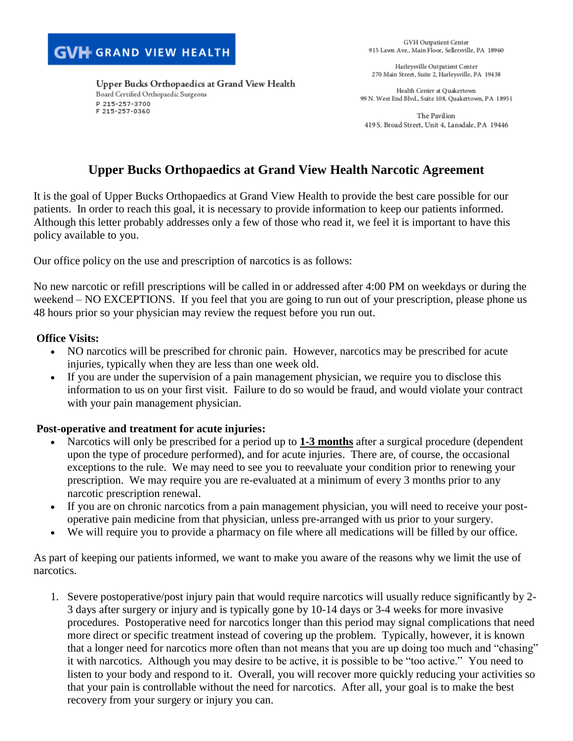P 215-257-3700 F 215-257-0360

Board Certified Orthopaedic Surgeons

GVH Outpatient Center 915 Lawn Ave., Main Floor, Sellersville, PA 18960

Harleysville Outpatient Center 270 Main Street, Suite 2, Harleysville, PA 19438

Health Center at Ouakertown 99 N. West End Blvd., Suite 108, Quakertown, PA 18951

The Pavilion 419 S. Broad Street, Unit 4, Lansdale, PA 19446

## **Upper Bucks Orthopaedics at Grand View Health Narcotic Agreement**

It is the goal of Upper Bucks Orthopaedics at Grand View Health to provide the best care possible for our patients. In order to reach this goal, it is necessary to provide information to keep our patients informed. Although this letter probably addresses only a few of those who read it, we feel it is important to have this policy available to you.

Our office policy on the use and prescription of narcotics is as follows:

Upper Bucks Orthopaedics at Grand View Health

No new narcotic or refill prescriptions will be called in or addressed after 4:00 PM on weekdays or during the weekend – NO EXCEPTIONS. If you feel that you are going to run out of your prescription, please phone us 48 hours prior so your physician may review the request before you run out.

### **Office Visits:**

- NO narcotics will be prescribed for chronic pain. However, narcotics may be prescribed for acute injuries, typically when they are less than one week old.
- If you are under the supervision of a pain management physician, we require you to disclose this information to us on your first visit. Failure to do so would be fraud, and would violate your contract with your pain management physician.

### **Post-operative and treatment for acute injuries:**

- Narcotics will only be prescribed for a period up to **1-3 months** after a surgical procedure (dependent upon the type of procedure performed), and for acute injuries. There are, of course, the occasional exceptions to the rule. We may need to see you to reevaluate your condition prior to renewing your prescription. We may require you are re-evaluated at a minimum of every 3 months prior to any narcotic prescription renewal.
- If you are on chronic narcotics from a pain management physician, you will need to receive your postoperative pain medicine from that physician, unless pre-arranged with us prior to your surgery.
- We will require you to provide a pharmacy on file where all medications will be filled by our office.

As part of keeping our patients informed, we want to make you aware of the reasons why we limit the use of narcotics.

1. Severe postoperative/post injury pain that would require narcotics will usually reduce significantly by 2- 3 days after surgery or injury and is typically gone by 10-14 days or 3-4 weeks for more invasive procedures. Postoperative need for narcotics longer than this period may signal complications that need more direct or specific treatment instead of covering up the problem. Typically, however, it is known that a longer need for narcotics more often than not means that you are up doing too much and "chasing" it with narcotics. Although you may desire to be active, it is possible to be "too active." You need to listen to your body and respond to it. Overall, you will recover more quickly reducing your activities so that your pain is controllable without the need for narcotics. After all, your goal is to make the best recovery from your surgery or injury you can.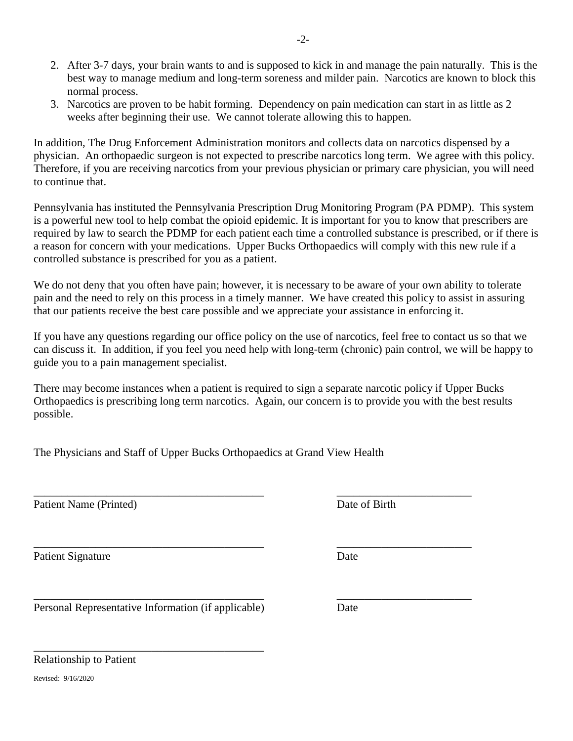- 2. After 3-7 days, your brain wants to and is supposed to kick in and manage the pain naturally. This is the best way to manage medium and long-term soreness and milder pain. Narcotics are known to block this normal process.
- 3. Narcotics are proven to be habit forming. Dependency on pain medication can start in as little as 2 weeks after beginning their use. We cannot tolerate allowing this to happen.

In addition, The Drug Enforcement Administration monitors and collects data on narcotics dispensed by a physician. An orthopaedic surgeon is not expected to prescribe narcotics long term. We agree with this policy. Therefore, if you are receiving narcotics from your previous physician or primary care physician, you will need to continue that.

Pennsylvania has instituted the Pennsylvania Prescription Drug Monitoring Program (PA PDMP). This system is a powerful new tool to help combat the opioid epidemic. It is important for you to know that prescribers are required by law to search the PDMP for each patient each time a controlled substance is prescribed, or if there is a reason for concern with your medications. Upper Bucks Orthopaedics will comply with this new rule if a controlled substance is prescribed for you as a patient.

We do not deny that you often have pain; however, it is necessary to be aware of your own ability to tolerate pain and the need to rely on this process in a timely manner. We have created this policy to assist in assuring that our patients receive the best care possible and we appreciate your assistance in enforcing it.

If you have any questions regarding our office policy on the use of narcotics, feel free to contact us so that we can discuss it. In addition, if you feel you need help with long-term (chronic) pain control, we will be happy to guide you to a pain management specialist.

There may become instances when a patient is required to sign a separate narcotic policy if Upper Bucks Orthopaedics is prescribing long term narcotics. Again, our concern is to provide you with the best results possible.

\_\_\_\_\_\_\_\_\_\_\_\_\_\_\_\_\_\_\_\_\_\_\_\_\_\_\_\_\_\_\_\_\_\_\_\_\_\_\_\_\_ \_\_\_\_\_\_\_\_\_\_\_\_\_\_\_\_\_\_\_\_\_\_\_\_

 $\overline{\phantom{a}}$  , and the contribution of the contribution of the contribution of the contribution of the contribution of the contribution of the contribution of the contribution of the contribution of the contribution of the

The Physicians and Staff of Upper Bucks Orthopaedics at Grand View Health

Patient Name (Printed) Date of Birth

Patient Signature Date

\_\_\_\_\_\_\_\_\_\_\_\_\_\_\_\_\_\_\_\_\_\_\_\_\_\_\_\_\_\_\_\_\_\_\_\_\_\_\_\_\_ \_\_\_\_\_\_\_\_\_\_\_\_\_\_\_\_\_\_\_\_\_\_\_\_ Personal Representative Information (if applicable) Date

\_\_\_\_\_\_\_\_\_\_\_\_\_\_\_\_\_\_\_\_\_\_\_\_\_\_\_\_\_\_\_\_\_\_\_\_\_\_\_\_\_

Relationship to Patient

Revised: 9/16/2020